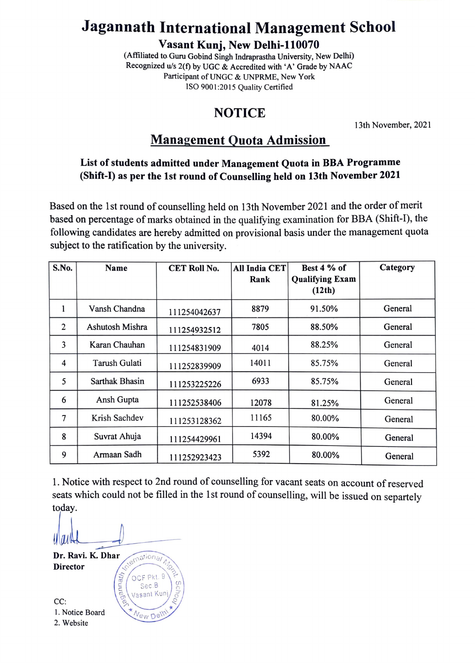# Jagannath International Management School

Vasant Kunj, New Delhi-110070

(Aftiliated to. Guru Gobind Singh Indraprastha University, New Delhi) Recognized u/s 2(f) by UGC & Accredited with 'A' Grade by NAAC Participant of UNGC & UNPRME, New York ISO 9001:2015 Quality Certified

## NOTICE

13th November, 2021

## Management Quota Admission

#### List of students admitted under Management Quota in BBA Programme (Shift-) as per the 1st round of Counselling held on 13th November 2021

Based on the 1st round of counselling held on 13th November 2021 and the order of merit based on percentage of marks obtained in the qualifying examination for BBA (Shift-1), the following candidates are hereby admitted on provisional basis under the management quota subject to the ratification by the university.

| S.No.          | Name            | <b>CET Roll No.</b> | <b>All India CET</b><br>Rank | Best 4 % of<br><b>Qualifying Exam</b> | Category |
|----------------|-----------------|---------------------|------------------------------|---------------------------------------|----------|
|                |                 |                     |                              | (12th)                                |          |
| 1              | Vansh Chandna   | 111254042637        | 8879                         | 91.50%                                | General  |
| $\overline{2}$ | Ashutosh Mishra | 111254932512        | 7805                         | 88.50%                                | General  |
| 3              | Karan Chauhan   | 111254831909        | 4014                         | 88.25%                                | General  |
| 4              | Tarush Gulati   | 111252839909        | 14011                        | 85.75%                                | General  |
| 5              | Sarthak Bhasin  | 111253225226        | 6933                         | 85.75%                                | General  |
| 6              | Ansh Gupta      | 111252538406        | 12078                        | 81.25%                                | General  |
| 7              | Krish Sachdev   | 111253128362        | 11165                        | 80.00%                                | General  |
| 8              | Suvrat Ahuja    | 111254429961        | 14394                        | 80.00%                                | General  |
| 9              | Armaan Sadh     | 111252923423        | 5392                         | 80.00%                                | General  |

1. Notice with respect to 2nd round of counselling for vacant seats on account of reserved seats which could not be filled in the lst round of counselling, will be issued on separtely today.

yw **vernational** Dr. Ravi. K. Dhar<br>Director OCF Pkt. 9 Sec B

Vasant Kuni/

New Dell

CC: 1. Notice Board<br>2. Website